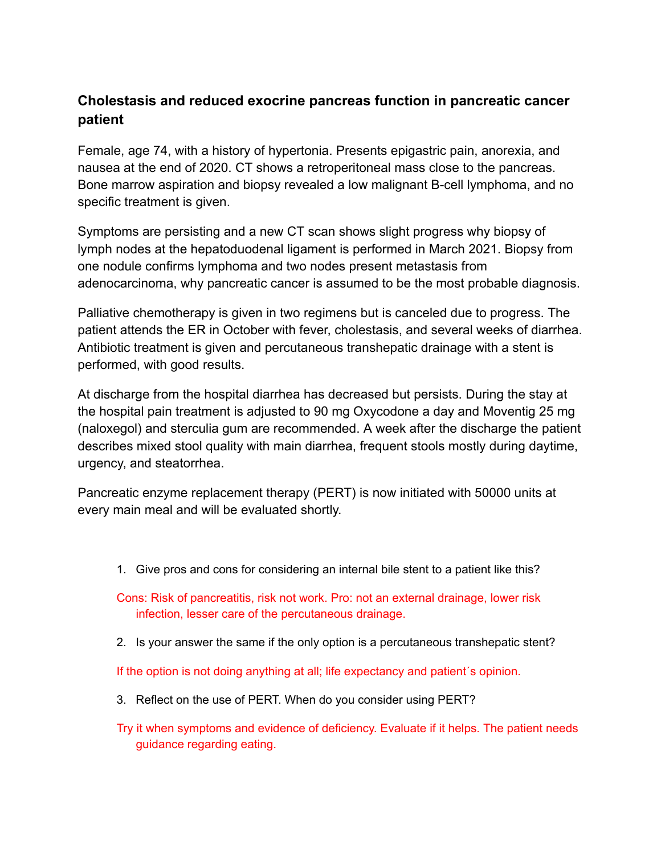## **Cholestasis and reduced exocrine pancreas function in pancreatic cancer patient**

Female, age 74, with a history of hypertonia. Presents epigastric pain, anorexia, and nausea at the end of 2020. CT shows a retroperitoneal mass close to the pancreas. Bone marrow aspiration and biopsy revealed a low malignant B-cell lymphoma, and no specific treatment is given.

Symptoms are persisting and a new CT scan shows slight progress why biopsy of lymph nodes at the hepatoduodenal ligament is performed in March 2021. Biopsy from one nodule confirms lymphoma and two nodes present metastasis from adenocarcinoma, why pancreatic cancer is assumed to be the most probable diagnosis.

Palliative chemotherapy is given in two regimens but is canceled due to progress. The patient attends the ER in October with fever, cholestasis, and several weeks of diarrhea. Antibiotic treatment is given and percutaneous transhepatic drainage with a stent is performed, with good results.

At discharge from the hospital diarrhea has decreased but persists. During the stay at the hospital pain treatment is adjusted to 90 mg Oxycodone a day and Moventig 25 mg (naloxegol) and sterculia gum are recommended. A week after the discharge the patient describes mixed stool quality with main diarrhea, frequent stools mostly during daytime, urgency, and steatorrhea.

Pancreatic enzyme replacement therapy (PERT) is now initiated with 50000 units at every main meal and will be evaluated shortly.

1. Give pros and cons for considering an internal bile stent to a patient like this?

Cons: Risk of pancreatitis, risk not work. Pro: not an external drainage, lower risk infection, lesser care of the percutaneous drainage.

2. Is your answer the same if the only option is a percutaneous transhepatic stent?

If the option is not doing anything at all; life expectancy and patient´s opinion.

- 3. Reflect on the use of PERT. When do you consider using PERT?
- Try it when symptoms and evidence of deficiency. Evaluate if it helps. The patient needs guidance regarding eating.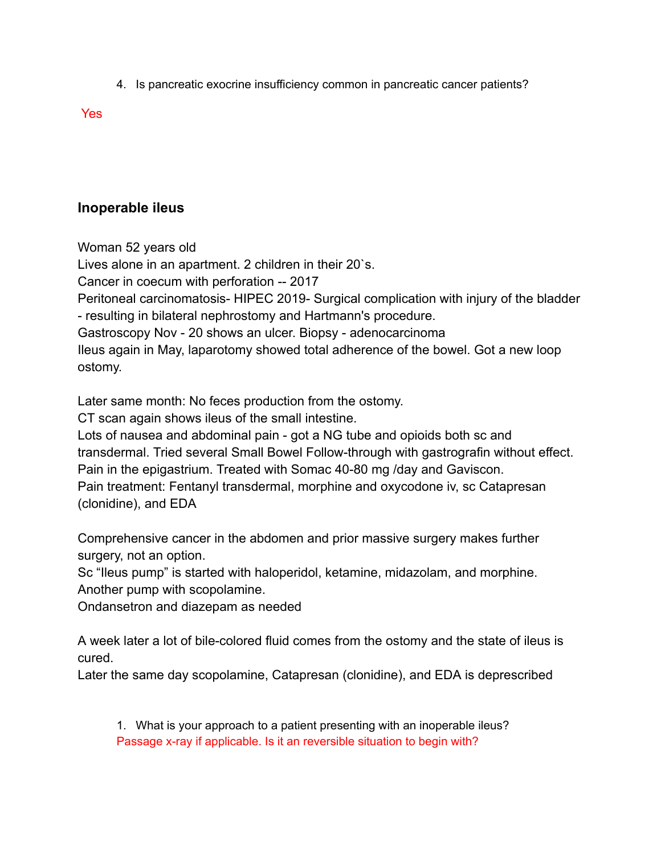4. Is pancreatic exocrine insufficiency common in pancreatic cancer patients?

Yes

## **Inoperable ileus**

Woman 52 years old

Lives alone in an apartment. 2 children in their 20`s.

Cancer in coecum with perforation -- 2017

Peritoneal carcinomatosis- HIPEC 2019- Surgical complication with injury of the bladder - resulting in bilateral nephrostomy and Hartmann's procedure.

Gastroscopy Nov - 20 shows an ulcer. Biopsy - adenocarcinoma

Ileus again in May, laparotomy showed total adherence of the bowel. Got a new loop ostomy.

Later same month: No feces production from the ostomy.

CT scan again shows ileus of the small intestine.

Lots of nausea and abdominal pain - got a NG tube and opioids both sc and transdermal. Tried several Small Bowel Follow-through with gastrografin without effect. Pain in the epigastrium. Treated with Somac 40-80 mg /day and Gaviscon. Pain treatment: Fentanyl transdermal, morphine and oxycodone iv, sc Catapresan (clonidine), and EDA

Comprehensive cancer in the abdomen and prior massive surgery makes further surgery, not an option.

Sc "Ileus pump" is started with haloperidol, ketamine, midazolam, and morphine. Another pump with scopolamine.

Ondansetron and diazepam as needed

A week later a lot of bile-colored fluid comes from the ostomy and the state of ileus is cured.

Later the same day scopolamine, Catapresan (clonidine), and EDA is deprescribed

1. What is your approach to a patient presenting with an inoperable ileus? Passage x-ray if applicable. Is it an reversible situation to begin with?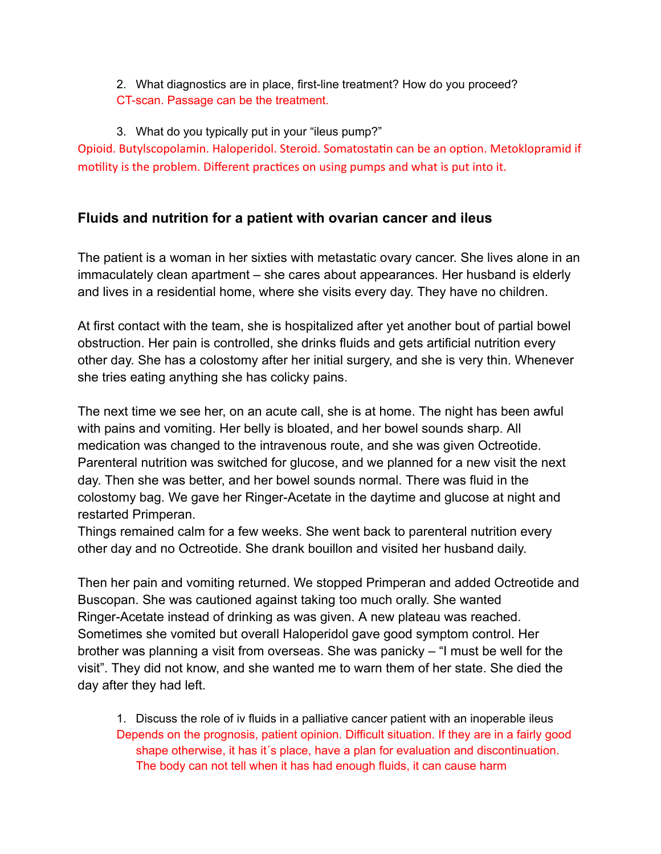2. What diagnostics are in place, first-line treatment? How do you proceed? CT-scan. Passage can be the treatment.

3. What do you typically put in your "ileus pump?" Opioid. Butylscopolamin. Haloperidol. Steroid. Somatostatin can be an option. Metoklopramid if motility is the problem. Different practices on using pumps and what is put into it.

## **Fluids and nutrition for a patient with ovarian cancer and ileus**

The patient is a woman in her sixties with metastatic ovary cancer. She lives alone in an immaculately clean apartment – she cares about appearances. Her husband is elderly and lives in a residential home, where she visits every day. They have no children.

At first contact with the team, she is hospitalized after yet another bout of partial bowel obstruction. Her pain is controlled, she drinks fluids and gets artificial nutrition every other day. She has a colostomy after her initial surgery, and she is very thin. Whenever she tries eating anything she has colicky pains.

The next time we see her, on an acute call, she is at home. The night has been awful with pains and vomiting. Her belly is bloated, and her bowel sounds sharp. All medication was changed to the intravenous route, and she was given Octreotide. Parenteral nutrition was switched for glucose, and we planned for a new visit the next day. Then she was better, and her bowel sounds normal. There was fluid in the colostomy bag. We gave her Ringer-Acetate in the daytime and glucose at night and restarted Primperan.

Things remained calm for a few weeks. She went back to parenteral nutrition every other day and no Octreotide. She drank bouillon and visited her husband daily.

Then her pain and vomiting returned. We stopped Primperan and added Octreotide and Buscopan. She was cautioned against taking too much orally. She wanted Ringer-Acetate instead of drinking as was given. A new plateau was reached. Sometimes she vomited but overall Haloperidol gave good symptom control. Her brother was planning a visit from overseas. She was panicky – "I must be well for the visit". They did not know, and she wanted me to warn them of her state. She died the day after they had left.

1. Discuss the role of iv fluids in a palliative cancer patient with an inoperable ileus Depends on the prognosis, patient opinion. Difficult situation. If they are in a fairly good shape otherwise, it has it´s place, have a plan for evaluation and discontinuation. The body can not tell when it has had enough fluids, it can cause harm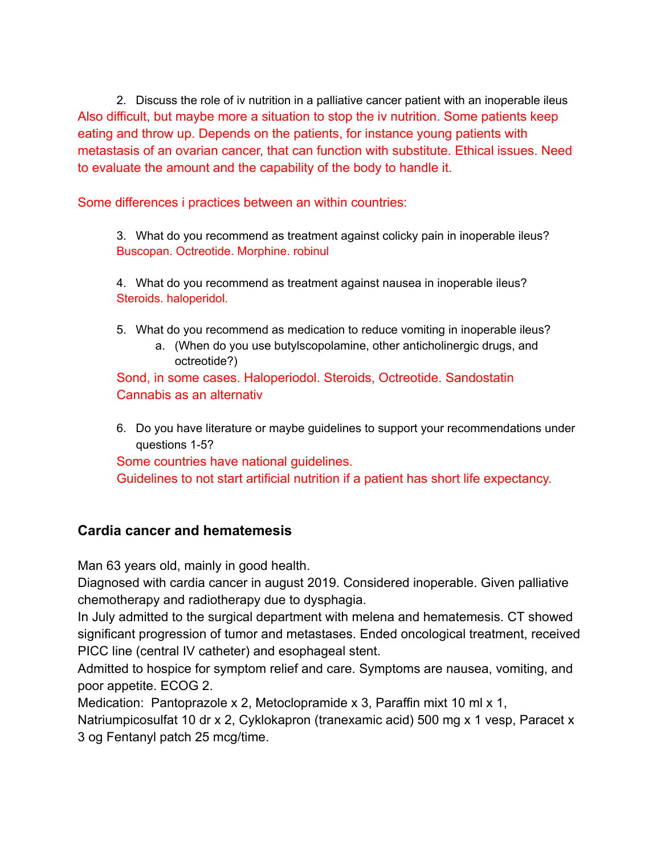2. Discuss the role of iv nutrition in a palliative cancer patient with an inoperable ileus Also difficult, but maybe more a situation to stop the iv nutrition. Some patients keep eating and throw up. Depends on the patients, for instance young patients with metastasis of an ovarian cancer, that can function with substitute. Ethical issues. Need to evaluate the amount and the capability of the body to handle it.

Some differences i practices between an within countries:

3. What do you recommend as treatment against colicky pain in inoperable ileus? Buscopan. Octreotide. Morphine. robinul

4. What do you recommend as treatment against nausea in inoperable ileus? Steroids. haloperidol.

- 5. What do you recommend as medication to reduce vomiting in inoperable ileus?
	- a. (When do you use butylscopolamine, other anticholinergic drugs, and octreotide?)

Sond, in some cases. Haloperiodol. Steroids, Octreotide. Sandostatin Cannabis as an alternativ

6. Do you have literature or maybe guidelines to support your recommendations under questions 1-5?

Some countries have national guidelines.

Guidelines to not start artificial nutrition if a patient has short life expectancy.

## **Cardia cancer and hematemesis**

Man 63 years old, mainly in good health.

Diagnosed with cardia cancer in august 2019. Considered inoperable. Given palliative chemotherapy and radiotherapy due to dysphagia.

In July admitted to the surgical department with melena and hematemesis. CT showed significant progression of tumor and metastases. Ended oncological treatment, received PICC line (central IV catheter) and esophageal stent.

Admitted to hospice for symptom relief and care. Symptoms are nausea, vomiting, and poor appetite. ECOG 2.

Medication: Pantoprazole x 2, Metoclopramide x 3, Paraffin mixt 10 ml x 1,

Natriumpicosulfat 10 dr x 2, Cyklokapron (tranexamic acid) 500 mg x 1 vesp, Paracet x 3 og Fentanyl patch 25 mcg/time.